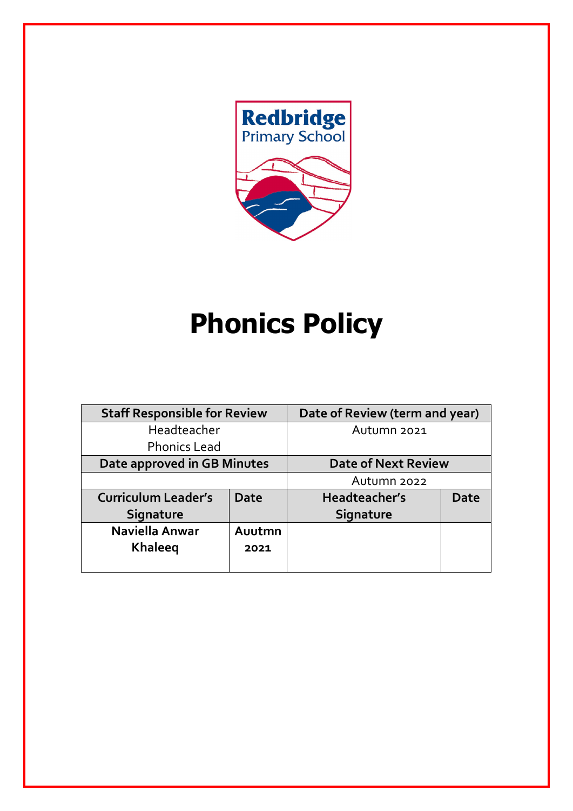

# **Phonics Policy**

| <b>Staff Responsible for Review</b> |             | Date of Review (term and year) |             |
|-------------------------------------|-------------|--------------------------------|-------------|
| Headteacher                         |             | Autumn 2021                    |             |
| <b>Phonics Lead</b>                 |             |                                |             |
| Date approved in GB Minutes         |             | <b>Date of Next Review</b>     |             |
|                                     |             | Autumn 2022                    |             |
| <b>Curriculum Leader's</b>          | <b>Date</b> | Headteacher's                  | <b>Date</b> |
| Signature                           |             | Signature                      |             |
| Naviella Anwar                      | Auutmn      |                                |             |
| <b>Khaleeg</b>                      | 2021        |                                |             |
|                                     |             |                                |             |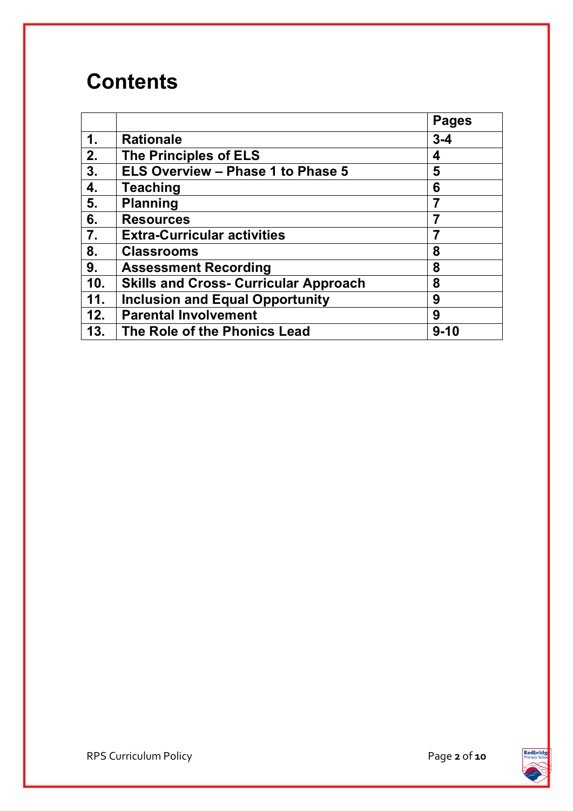## **Contents**

|                  |                                              | <b>Pages</b> |
|------------------|----------------------------------------------|--------------|
| 1.               | <b>Rationale</b>                             | $3 - 4$      |
| 2.               | <b>The Principles of ELS</b>                 | 4            |
| 3.               | <b>ELS Overview - Phase 1 to Phase 5</b>     | 5            |
| 4.               | <b>Teaching</b>                              | 6            |
| 5.               | <b>Planning</b>                              |              |
| 6.               | <b>Resources</b>                             |              |
| $\overline{7}$ . | <b>Extra-Curricular activities</b>           | 7            |
| 8.               | <b>Classrooms</b>                            | 8            |
| 9.               | <b>Assessment Recording</b>                  | 8            |
| 10.              | <b>Skills and Cross- Curricular Approach</b> | 8            |
| 11.              | <b>Inclusion and Equal Opportunity</b>       | 9            |
| 12.              | <b>Parental Involvement</b>                  | 9            |
| 13.              | The Role of the Phonics Lead                 | $9 - 10$     |

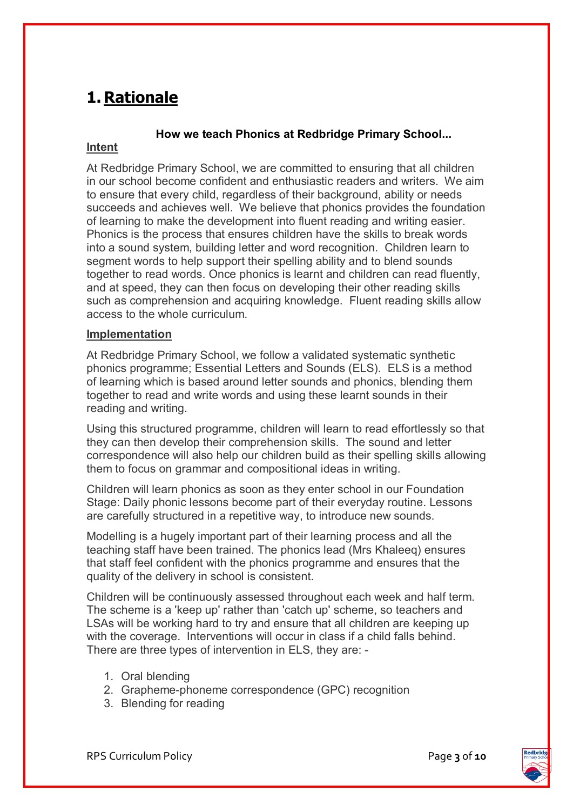### **1. Rationale**

#### **How we teach Phonics at Redbridge Primary School...**

#### **Intent**

At Redbridge Primary School, we are committed to ensuring that all children in our school become confident and enthusiastic readers and writers. We aim to ensure that every child, regardless of their background, ability or needs succeeds and achieves well. We believe that phonics provides the foundation of learning to make the development into fluent reading and writing easier. Phonics is the process that ensures children have the skills to break words into a sound system, building letter and word recognition. Children learn to segment words to help support their spelling ability and to blend sounds together to read words. Once phonics is learnt and children can read fluently, and at speed, they can then focus on developing their other reading skills such as comprehension and acquiring knowledge. Fluent reading skills allow access to the whole curriculum.

#### **Implementation**

At Redbridge Primary School, we follow a validated systematic synthetic phonics programme; Essential Letters and Sounds (ELS). ELS is a method of learning which is based around letter sounds and phonics, blending them together to read and write words and using these learnt sounds in their reading and writing.

Using this structured programme, children will learn to read effortlessly so that they can then develop their comprehension skills. The sound and letter correspondence will also help our children build as their spelling skills allowing them to focus on grammar and compositional ideas in writing.

Children will learn phonics as soon as they enter school in our Foundation Stage: Daily phonic lessons become part of their everyday routine. Lessons are carefully structured in a repetitive way, to introduce new sounds.

Modelling is a hugely important part of their learning process and all the teaching staff have been trained. The phonics lead (Mrs Khaleeq) ensures that staff feel confident with the phonics programme and ensures that the quality of the delivery in school is consistent.

Children will be continuously assessed throughout each week and half term. The scheme is a 'keep up' rather than 'catch up' scheme, so teachers and LSAs will be working hard to try and ensure that all children are keeping up with the coverage. Interventions will occur in class if a child falls behind. There are three types of intervention in ELS, they are: -

- 1. Oral blending
- 2. Grapheme-phoneme correspondence (GPC) recognition
- 3. Blending for reading

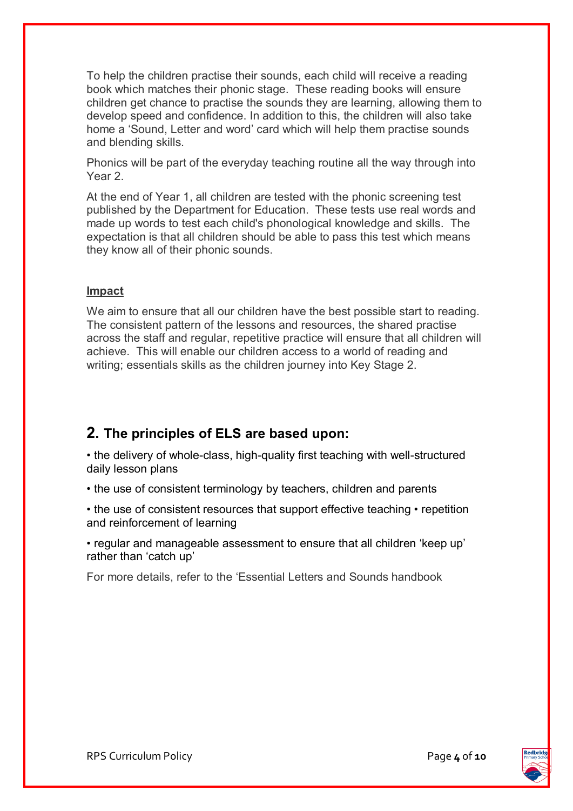To help the children practise their sounds, each child will receive a reading book which matches their phonic stage. These reading books will ensure children get chance to practise the sounds they are learning, allowing them to develop speed and confidence. In addition to this, the children will also take home a 'Sound, Letter and word' card which will help them practise sounds and blending skills.

Phonics will be part of the everyday teaching routine all the way through into Year 2.

At the end of Year 1, all children are tested with the phonic screening test published by the Department for Education. These tests use real words and made up words to test each child's phonological knowledge and skills. The expectation is that all children should be able to pass this test which means they know all of their phonic sounds.

#### **Impact**

We aim to ensure that all our children have the best possible start to reading. The consistent pattern of the lessons and resources, the shared practise across the staff and regular, repetitive practice will ensure that all children will achieve. This will enable our children access to a world of reading and writing; essentials skills as the children journey into Key Stage 2.

#### **2. The principles of ELS are based upon:**

• the delivery of whole-class, high-quality first teaching with well-structured daily lesson plans

• the use of consistent terminology by teachers, children and parents

• the use of consistent resources that support effective teaching • repetition and reinforcement of learning

• regular and manageable assessment to ensure that all children 'keep up' rather than 'catch up'

For more details, refer to the 'Essential Letters and Sounds handbook

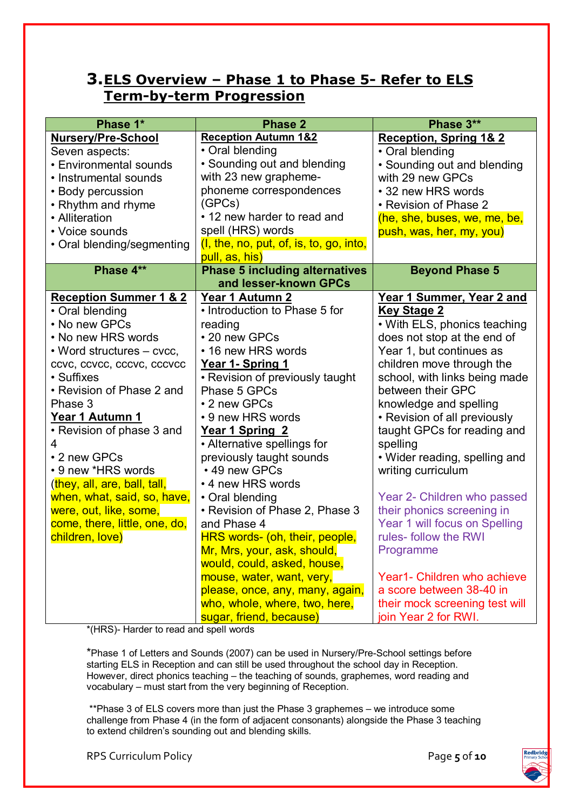#### **3.ELS Overview – Phase 1 to Phase 5- Refer to ELS Term-by-term Progression**

| Phase 1*                          | <b>Phase 2</b>                                                 | Phase 3**                         |  |
|-----------------------------------|----------------------------------------------------------------|-----------------------------------|--|
| <b>Nursery/Pre-School</b>         | <b>Reception Autumn 1&amp;2</b>                                | <b>Reception, Spring 1&amp; 2</b> |  |
| Seven aspects:                    | • Oral blending                                                | • Oral blending                   |  |
| <b>• Environmental sounds</b>     | • Sounding out and blending                                    | • Sounding out and blending       |  |
| • Instrumental sounds             | with 23 new grapheme-                                          | with 29 new GPCs                  |  |
| • Body percussion                 | phoneme correspondences                                        | • 32 new HRS words                |  |
| • Rhythm and rhyme                | (GPCs)                                                         | • Revision of Phase 2             |  |
| • Alliteration                    | • 12 new harder to read and                                    | (he, she, buses, we, me, be,      |  |
| • Voice sounds                    | spell (HRS) words                                              | push, was, her, my, you)          |  |
| • Oral blending/segmenting        | (I, the, no, put, of, is, to, go, into,                        |                                   |  |
| Phase 4**                         | pull, as, his)                                                 |                                   |  |
|                                   | <b>Phase 5 including alternatives</b><br>and lesser-known GPCs | <b>Beyond Phase 5</b>             |  |
| <b>Reception Summer 1 &amp; 2</b> | Year 1 Autumn 2                                                | Year 1 Summer, Year 2 and         |  |
| • Oral blending                   | • Introduction to Phase 5 for                                  | <b>Key Stage 2</b>                |  |
| • No new GPCs                     | reading                                                        | • With ELS, phonics teaching      |  |
| • No new HRS words                | • 20 new GPCs                                                  | does not stop at the end of       |  |
| • Word structures – cvcc,         | • 16 new HRS words                                             | Year 1, but continues as          |  |
| ccvc, ccvcc, cccvc, cccvcc        | Year 1- Spring 1                                               | children move through the         |  |
| • Suffixes                        | • Revision of previously taught                                | school, with links being made     |  |
| • Revision of Phase 2 and         | Phase 5 GPCs                                                   | between their GPC                 |  |
| Phase 3                           | • 2 new GPCs                                                   | knowledge and spelling            |  |
| Year 1 Autumn 1                   | • 9 new HRS words                                              | • Revision of all previously      |  |
| • Revision of phase 3 and         | Year 1 Spring 2                                                | taught GPCs for reading and       |  |
| 4                                 | • Alternative spellings for                                    | spelling                          |  |
| • 2 new GPCs                      | previously taught sounds                                       | • Wider reading, spelling and     |  |
| • 9 new *HRS words                | • 49 new GPCs                                                  | writing curriculum                |  |
| (they, all, are, ball, tall,      | • 4 new HRS words                                              |                                   |  |
| when, what, said, so, have,       | • Oral blending                                                | Year 2- Children who passed       |  |
| were, out, like, some,            | • Revision of Phase 2, Phase 3                                 | their phonics screening in        |  |
| come, there, little, one, do,     | and Phase 4                                                    | Year 1 will focus on Spelling     |  |
| children, love)                   | HRS words- (oh, their, people,                                 | rules- follow the RWI             |  |
|                                   | Mr, Mrs, your, ask, should,                                    | Programme                         |  |
|                                   | would, could, asked, house,                                    |                                   |  |
|                                   | mouse, water, want, very,                                      | Year1- Children who achieve       |  |
|                                   | please, once, any, many, again,                                | a score between 38-40 in          |  |
|                                   | who, whole, where, two, here,                                  | their mock screening test will    |  |
|                                   | sugar, friend, because)                                        | join Year 2 for RWI.              |  |

\*(HRS)- Harder to read and spell words

\*Phase 1 of Letters and Sounds (2007) can be used in Nursery/Pre-School settings before starting ELS in Reception and can still be used throughout the school day in Reception. However, direct phonics teaching – the teaching of sounds, graphemes, word reading and vocabulary – must start from the very beginning of Reception.

\*\*Phase 3 of ELS covers more than just the Phase 3 graphemes – we introduce some challenge from Phase 4 (in the form of adjacent consonants) alongside the Phase 3 teaching to extend children's sounding out and blending skills.

RPS Curriculum Policy Page **5** of **10**

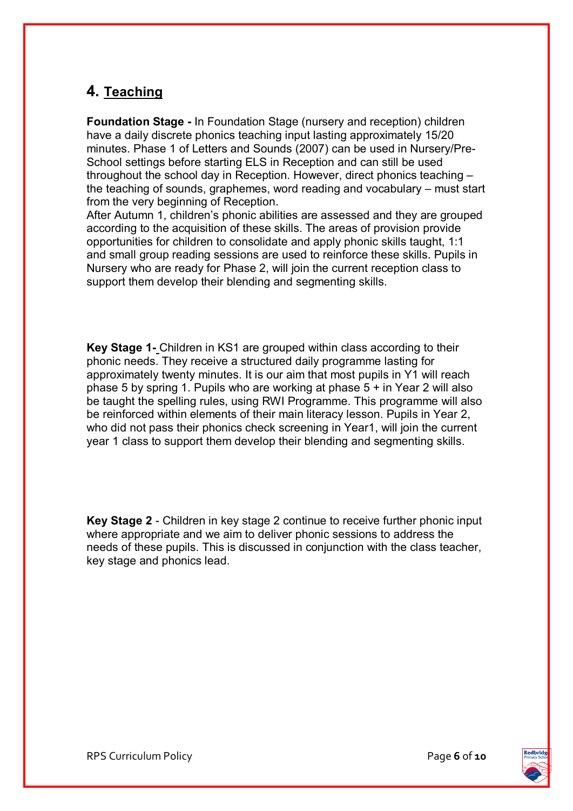#### **4. Teaching**

**Foundation Stage -** In Foundation Stage (nursery and reception) children have a daily discrete phonics teaching input lasting approximately 15/20 minutes. Phase 1 of Letters and Sounds (2007) can be used in Nursery/Pre-School settings before starting ELS in Reception and can still be used throughout the school day in Reception. However, direct phonics teaching – the teaching of sounds, graphemes, word reading and vocabulary – must start from the very beginning of Reception.

After Autumn 1, children's phonic abilities are assessed and they are grouped according to the acquisition of these skills. The areas of provision provide opportunities for children to consolidate and apply phonic skills taught, 1:1 and small group reading sessions are used to reinforce these skills. Pupils in Nursery who are ready for Phase 2, will join the current reception class to support them develop their blending and segmenting skills.

**Key Stage 1-** Children in KS1 are grouped within class according to their phonic needs. They receive a structured daily programme lasting for approximately twenty minutes. It is our aim that most pupils in Y1 will reach phase 5 by spring 1. Pupils who are working at phase 5 + in Year 2 will also be taught the spelling rules, using RWI Programme. This programme will also be reinforced within elements of their main literacy lesson. Pupils in Year 2, who did not pass their phonics check screening in Year1, will join the current year 1 class to support them develop their blending and segmenting skills.

**Key Stage 2** - Children in key stage 2 continue to receive further phonic input where appropriate and we aim to deliver phonic sessions to address the needs of these pupils. This is discussed in conjunction with the class teacher, key stage and phonics lead.

RPS Curriculum Policy **Page 6** of **10** 

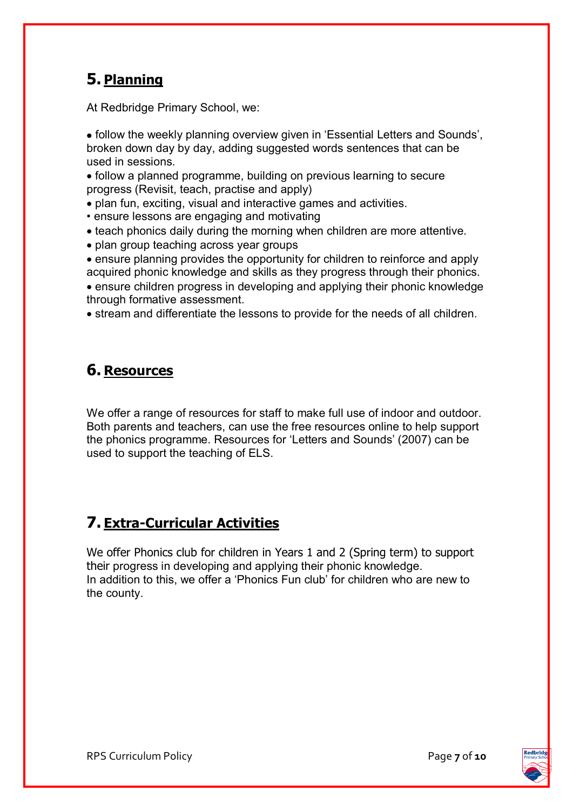### **5. Planning**

At Redbridge Primary School, we:

• follow the weekly planning overview given in 'Essential Letters and Sounds', broken down day by day, adding suggested words sentences that can be used in sessions.

• follow a planned programme, building on previous learning to secure progress (Revisit, teach, practise and apply)

- plan fun, exciting, visual and interactive games and activities.
- ensure lessons are engaging and motivating
- teach phonics daily during the morning when children are more attentive.
- plan group teaching across year groups

• ensure planning provides the opportunity for children to reinforce and apply acquired phonic knowledge and skills as they progress through their phonics. • ensure children progress in developing and applying their phonic knowledge through formative assessment.

• stream and differentiate the lessons to provide for the needs of all children.

### **6. Resources**

We offer a range of resources for staff to make full use of indoor and outdoor. Both parents and teachers, can use the free resources online to help support the phonics programme. Resources for 'Letters and Sounds' (2007) can be used to support the teaching of ELS.

### **7. Extra-Curricular Activities**

We offer Phonics club for children in Years 1 and 2 (Spring term) to support their progress in developing and applying their phonic knowledge. In addition to this, we offer a 'Phonics Fun club' for children who are new to the county.

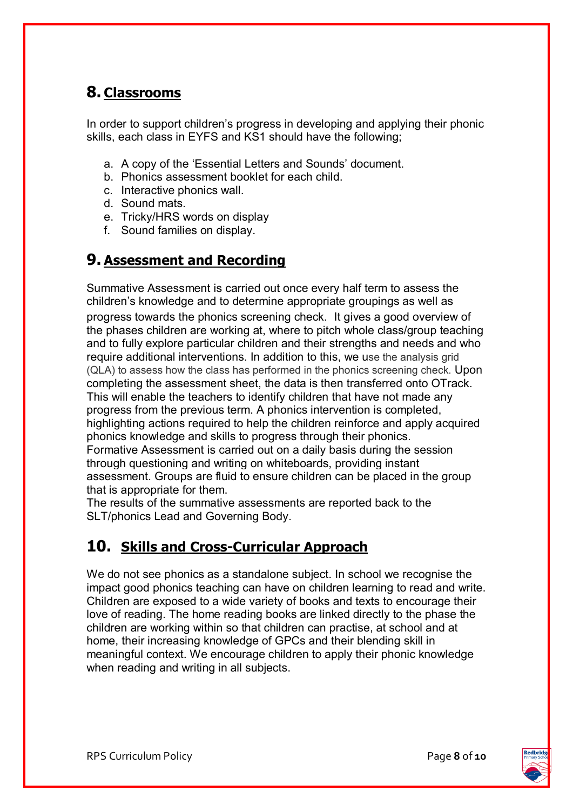### **8. Classrooms**

In order to support children's progress in developing and applying their phonic skills, each class in EYFS and KS1 should have the following;

- a. A copy of the 'Essential Letters and Sounds' document.
- b. Phonics assessment booklet for each child.
- c. Interactive phonics wall.
- d. Sound mats.
- e. Tricky/HRS words on display
- f. Sound families on display.

#### **9. Assessment and Recording**

Summative Assessment is carried out once every half term to assess the children's knowledge and to determine appropriate groupings as well as progress towards the phonics screening check. It gives a good overview of the phases children are working at, where to pitch whole class/group teaching and to fully explore particular children and their strengths and needs and who require additional interventions. In addition to this, we use the analysis grid (QLA) to assess how the class has performed in the phonics screening check. Upon completing the assessment sheet, the data is then transferred onto OTrack. This will enable the teachers to identify children that have not made any progress from the previous term. A phonics intervention is completed, highlighting actions required to help the children reinforce and apply acquired phonics knowledge and skills to progress through their phonics. Formative Assessment is carried out on a daily basis during the session through questioning and writing on whiteboards, providing instant assessment. Groups are fluid to ensure children can be placed in the group that is appropriate for them.

The results of the summative assessments are reported back to the SLT/phonics Lead and Governing Body.

### **10. Skills and Cross-Curricular Approach**

We do not see phonics as a standalone subject. In school we recognise the impact good phonics teaching can have on children learning to read and write. Children are exposed to a wide variety of books and texts to encourage their love of reading. The home reading books are linked directly to the phase the children are working within so that children can practise, at school and at home, their increasing knowledge of GPCs and their blending skill in meaningful context. We encourage children to apply their phonic knowledge when reading and writing in all subjects.

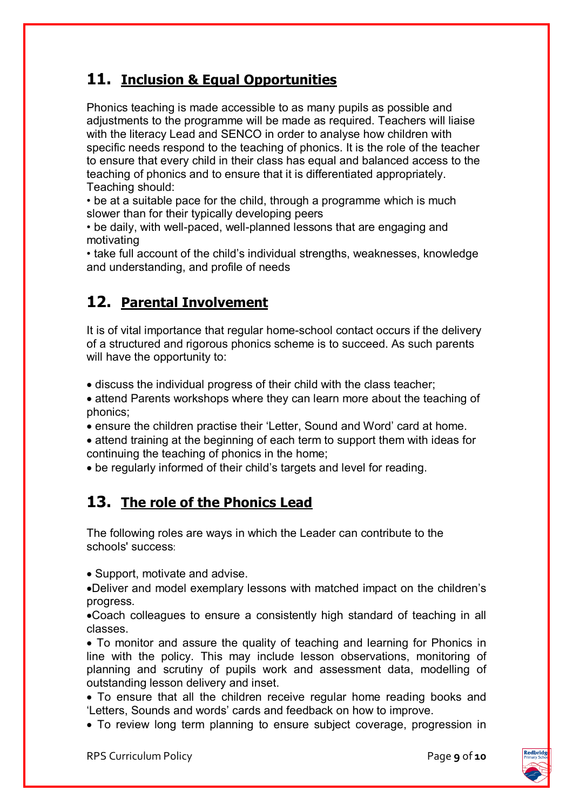#### **11. Inclusion & Equal Opportunities**

Phonics teaching is made accessible to as many pupils as possible and adjustments to the programme will be made as required. Teachers will liaise with the literacy Lead and SENCO in order to analyse how children with specific needs respond to the teaching of phonics. It is the role of the teacher to ensure that every child in their class has equal and balanced access to the teaching of phonics and to ensure that it is differentiated appropriately. Teaching should:

• be at a suitable pace for the child, through a programme which is much slower than for their typically developing peers

• be daily, with well-paced, well-planned lessons that are engaging and motivating

• take full account of the child's individual strengths, weaknesses, knowledge and understanding, and profile of needs

### **12. Parental Involvement**

It is of vital importance that regular home-school contact occurs if the delivery of a structured and rigorous phonics scheme is to succeed. As such parents will have the opportunity to:

• discuss the individual progress of their child with the class teacher;

• attend Parents workshops where they can learn more about the teaching of phonics;

• ensure the children practise their 'Letter, Sound and Word' card at home.

• attend training at the beginning of each term to support them with ideas for continuing the teaching of phonics in the home;

• be regularly informed of their child's targets and level for reading.

#### **13. The role of the Phonics Lead**

The following roles are ways in which the Leader can contribute to the schools' success:

• Support, motivate and advise.

•Deliver and model exemplary lessons with matched impact on the children's progress.

•Coach colleagues to ensure a consistently high standard of teaching in all classes.

• To monitor and assure the quality of teaching and learning for Phonics in line with the policy. This may include lesson observations, monitoring of planning and scrutiny of pupils work and assessment data, modelling of outstanding lesson delivery and inset.

• To ensure that all the children receive regular home reading books and 'Letters, Sounds and words' cards and feedback on how to improve.

• To review long term planning to ensure subject coverage, progression in